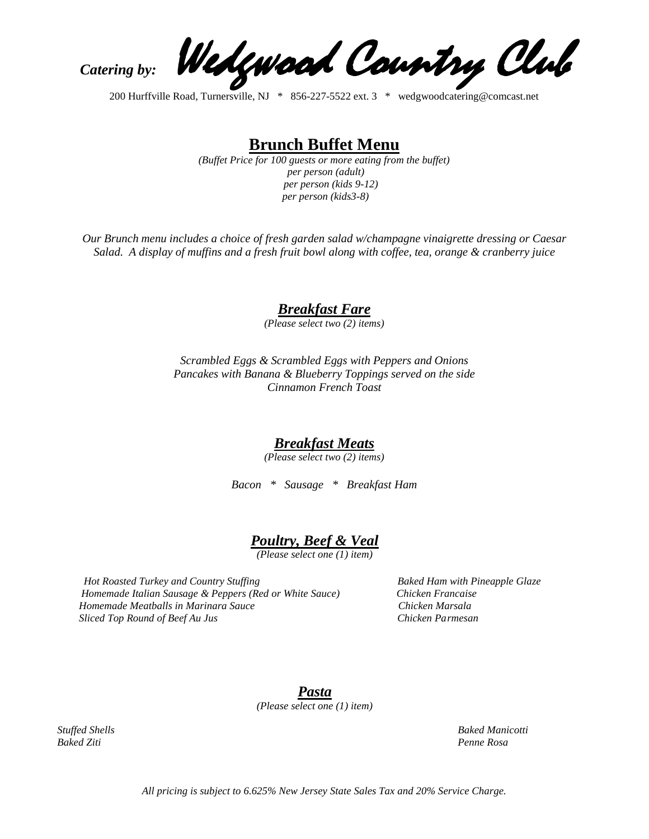Catering by: Wedgwood Country Club

200 Hurffville Road, Turnersville, NJ \* 856-227-5522 ext. 3 \* wedgwoodcatering@comcast.net

**Brunch Buffet Menu**

*(Buffet Price for 100 guests or more eating from the buffet) per person (adult) per person (kids 9-12) per person (kids3-8)*

*Our Brunch menu includes a choice of fresh garden salad w/champagne vinaigrette dressing or Caesar Salad. A display of muffins and a fresh fruit bowl along with coffee, tea, orange & cranberry juice*

*Breakfast Fare*

*(Please select two (2) items)*

*Scrambled Eggs & Scrambled Eggs with Peppers and Onions Pancakes with Banana & Blueberry Toppings served on the side Cinnamon French Toast*

#### *Breakfast Meats*

*(Please select two (2) items)*

*Bacon \* Sausage \* Breakfast Ham* 

### *Poultry, Beef & Veal*

*(Please select one (1) item)*

*Hot Roasted Turkey and Country Stuffing* Baked Ham with Pineapple Glaze  *Homemade Italian Sausage & Peppers (Red or White Sauce) Chicken Francaise Homemade Meatballs in Marinara Sauce Chicken Marsala Sliced Top Round of Beef Au Jus Chicken Parmesan*

*Pasta (Please select one (1) item)*

*Stuffed Shells Baked Manicotti*

*Baked Ziti Penne Rosa*

*All pricing is subject to 6.625% New Jersey State Sales Tax and 20% Service Charge.*